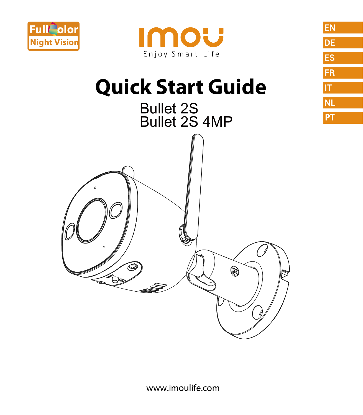



EN

DE

ES FR  $|\mathsf{T}|$ **NL** PT

# **Quick Start Guide**



www.imoulife.com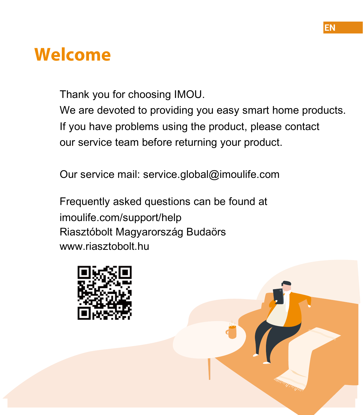## **Welcome**

Thank you for choosing IMOU.

We are devoted to providing you easy smart home products. If you have problems using the product, please contact our service team before returning your product.

Our service mail: service.global@imoulife.com

Frequently asked questions can be found at imoulife.com/support/help Riasztóbolt Magyarország Budaörs www.riasztobolt.hu



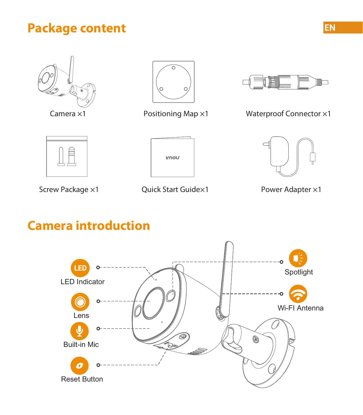#### **Package content**



Camera ×1





Positioning Map ×1 Waterproof Connector ×1



Screw Package ×1



Quick Start Guide×1



Power Adapter ×1

### **Camera introduction**

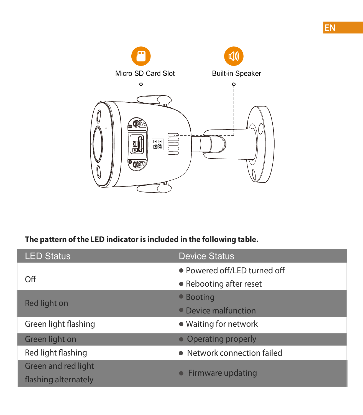

#### **The pattern of the LED indicator is included in the following table.**

| <b>LED Status</b>    | <b>Device Status</b>         |
|----------------------|------------------------------|
| Off                  | • Powered off/LED turned off |
|                      | • Rebooting after reset      |
| Red light on         | • Booting                    |
|                      | • Device malfunction         |
| Green light flashing | • Waiting for network        |
| Green light on       | • Operating properly         |
| Red light flashing   | • Network connection failed  |
| Green and red light  | Firmware updating            |
| flashing alternately |                              |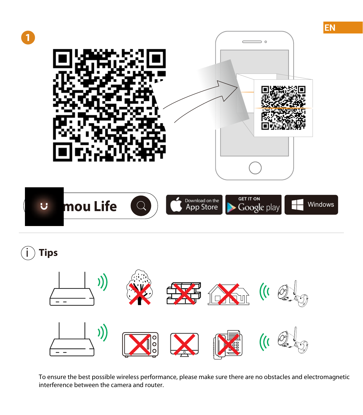

i **Tips**



To ensure the best possible wireless performance, please make sure there are no obstacles and electromagnetic interference between the camera and router.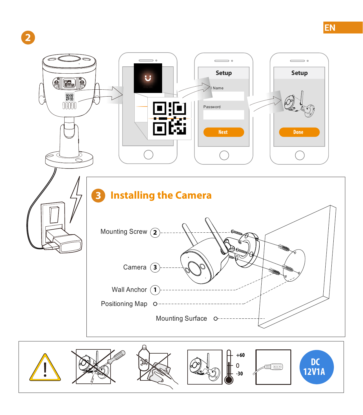

**2**

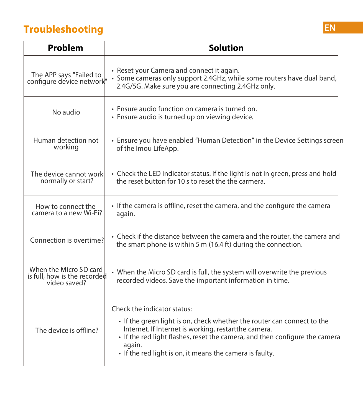#### **Troubleshooting**

| Problem                                                                | Solution                                                                                                                                                                                                                                                                                                            |
|------------------------------------------------------------------------|---------------------------------------------------------------------------------------------------------------------------------------------------------------------------------------------------------------------------------------------------------------------------------------------------------------------|
| The APP says "Failed to<br>configure device network"                   | · Reset your Camera and connect it again.<br>· Some cameras only support 2.4GHz, while some routers have dual band,<br>2.4G/5G. Make sure you are connecting 2.4GHz only.                                                                                                                                           |
| No audio                                                               | · Ensure audio function on camera is turned on.<br>· Ensure audio is turned up on viewing device.                                                                                                                                                                                                                   |
| Human detection not<br>working                                         | • Ensure you have enabled "Human Detection" in the Device Settings screen<br>of the Imou LifeApp.                                                                                                                                                                                                                   |
| The device cannot work<br>normally or start?                           | • Check the LED indicator status. If the light is not in green, press and hold<br>the reset button for 10s to reset the the carmera.                                                                                                                                                                                |
| How to connect the<br>camera to a new Wi-Fi?                           | • If the camera is offline, reset the camera, and the configure the camera<br>again.                                                                                                                                                                                                                                |
| Connection is overtime?                                                | • Check if the distance between the camera and the router, the camera and<br>the smart phone is within 5 m (16.4 ft) during the connection.                                                                                                                                                                         |
| When the Micro SD card<br>is full, how is the recorded<br>video saved? | • When the Micro SD card is full, the system will overwrite the previous<br>recorded videos. Save the important information in time.                                                                                                                                                                                |
| The device is offline?                                                 | Check the indicator status:<br>• If the green light is on, check whether the router can connect to the<br>Internet. If Internet is working, restartthe camera.<br>• If the red light flashes, reset the camera, and then configure the camera<br>again.<br>• If the red light is on, it means the camera is faulty. |

**EN**